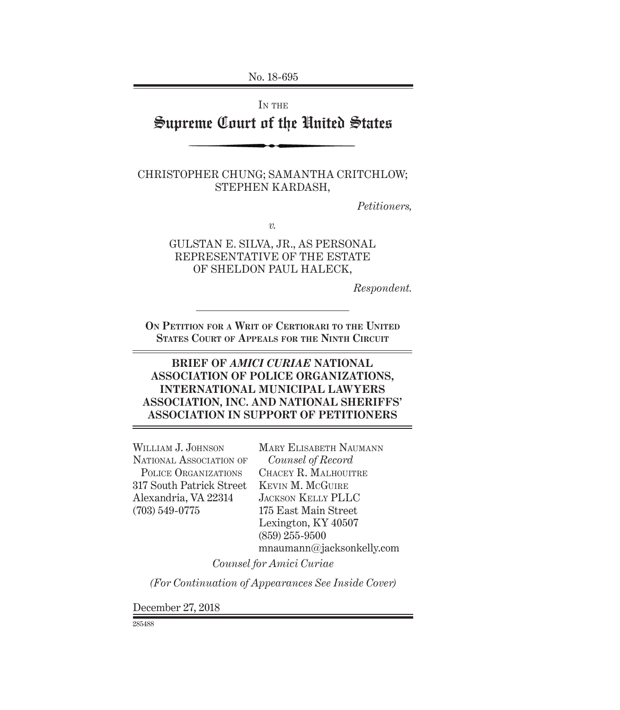No. 18-695

IN THE

# Supreme Court of the United States

CHRISTOPHER CHUNG; SAMANTHA CRITCHLOW; STEPHEN KARDASH,

*Petitioners,*

*v.*

GULSTAN E. SILVA, JR., AS PERSONAL REPRESENTATIVE OF THE ESTATE OF SHELDON PAUL HALECK,

*Respondent.*

**On Petition for a Writ of Certiorari to the United States Court of Appeals for the Ninth Circuit**

## **BRIEF OF** *AMICI CURIAE* **NATIONAL ASSOCIATION OF POLICE ORGANIZATIONS, INTERNATIONAL MUNICIPAL LAWYERS ASSOCIATION, INC. AND NATIONAL SHERIFFS' ASSOCIATION IN SUPPORT OF PETITIONERS**

WILLIAM J. JOHNSON NATIONAL ASSOCIATION OF POLICE ORGANIZATIONS 317 South Patrick Street Alexandria, VA 22314 (703) 549-0775

Mary Elisabeth Naumann *Counsel of Record*  Chacey R. Malhouitre Kevin M. McGuire Jackson Kelly PLLC 175 East Main Street Lexington, KY 40507 (859) 255-9500 mnaumann@jacksonkelly.com

*Counsel for Amici Curiae*

*(For Continuation of Appearances See Inside Cover)*

December 27, 2018

285488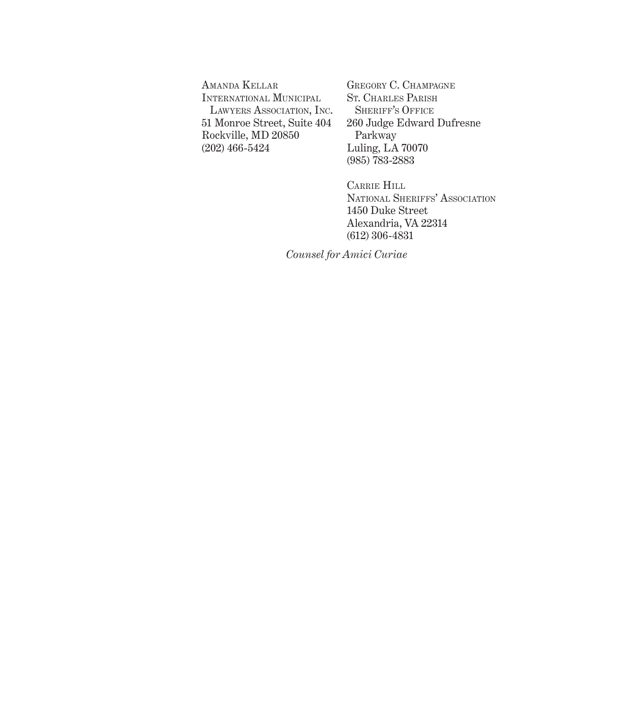Amanda Kellar International Municipal Lawyers Association, Inc. 51 Monroe Street, Suite 404 Rockville, MD 20850 (202) 466-5424

Gregory C. Champagne St. Charles Parish SHERIFF'S OFFICE 260 Judge Edward Dufresne Parkway Luling, LA 70070 (985) 783-2883

Carrie Hill National Sheriffs' Association 1450 Duke Street Alexandria, VA 22314 (612) 306-4831

*Counsel for Amici Curiae*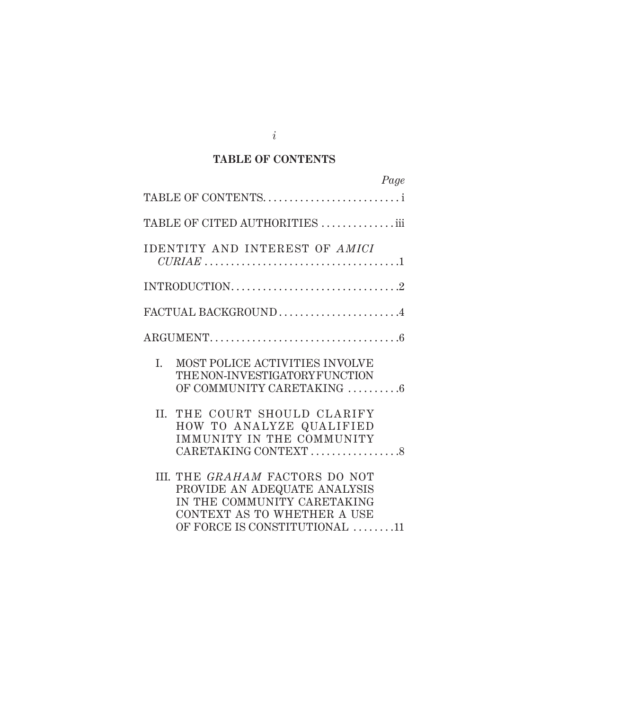## **TABLE OF CONTENTS**

| Page                                                                                                                                                          |
|---------------------------------------------------------------------------------------------------------------------------------------------------------------|
| TABLE OF CONTENTS                                                                                                                                             |
| TABLE OF CITED AUTHORITIES iii                                                                                                                                |
| IDENTITY AND INTEREST OF AMICI                                                                                                                                |
|                                                                                                                                                               |
| FACTUAL BACKGROUND4                                                                                                                                           |
| $\text{ARGUMENT.}\dots\dots\dots\dots\dots\dots\dots\dots\dots\dots\dots\dots\dots\dots\dots\dots$                                                            |
| MOST POLICE ACTIVITIES INVOLVE<br>L.<br>THE NON-INVESTIGATORY FUNCTION<br>OF COMMUNITY CARETAKING 6                                                           |
| THE COURT SHOULD CLARIFY<br>II.<br>HOW TO ANALYZE QUALIFIED<br>IMMUNITY IN THE COMMUNITY<br>CARETAKING CONTEXT 8                                              |
| III. THE GRAHAM FACTORS DO NOT<br>PROVIDE AN ADEQUATE ANALYSIS<br>IN THE COMMUNITY CARETAKING<br>CONTEXT AS TO WHETHER A USE<br>OF FORCE IS CONSTITUTIONAL 11 |

*i*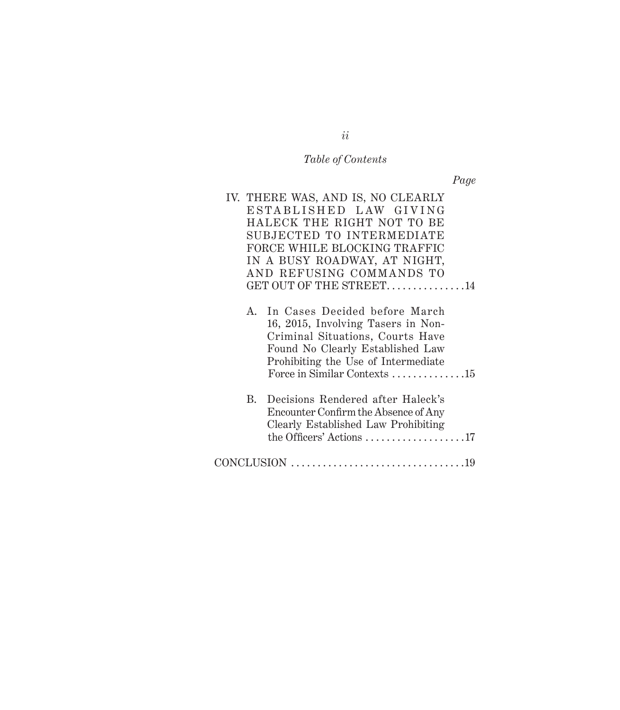# *Table of Contents*

*Page*

|             | IV. THERE WAS, AND IS, NO CLEARLY                                                                                                                                                                                  |
|-------------|--------------------------------------------------------------------------------------------------------------------------------------------------------------------------------------------------------------------|
|             | ESTABLISHED LAW GIVING                                                                                                                                                                                             |
|             | HALECK THE RIGHT NOT TO BE                                                                                                                                                                                         |
|             | SUBJECTED TO INTERMEDIATE                                                                                                                                                                                          |
|             | FORCE WHILE BLOCKING TRAFFIC                                                                                                                                                                                       |
|             | IN A BUSY ROADWAY, AT NIGHT,                                                                                                                                                                                       |
|             | AND REFUSING COMMANDS TO                                                                                                                                                                                           |
|             | GET OUT OF THE STREET14                                                                                                                                                                                            |
| $A_{\cdot}$ | In Cases Decided before March<br>16, 2015, Involving Tasers in Non-<br>Criminal Situations, Courts Have<br>Found No Clearly Established Law<br>Prohibiting the Use of Intermediate<br>Force in Similar Contexts 15 |
| B.          | Decisions Rendered after Haleck's<br>Encounter Confirm the Absence of Any<br>Clearly Established Law Prohibiting<br>the Officers' Actions $\dots \dots \dots \dots \dots \dots 17$                                 |
|             |                                                                                                                                                                                                                    |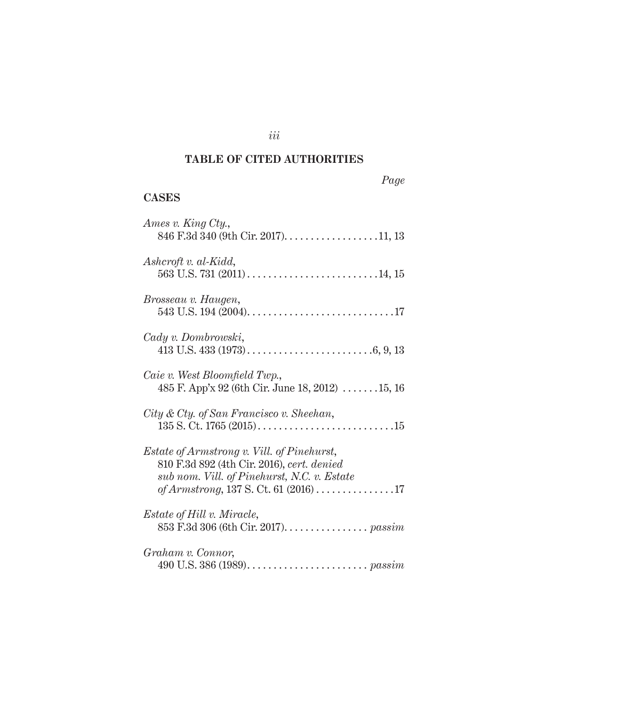# **TABLE OF CITED AUTHORITIES**

*iii*

# *Page*

# **CASES**

| Ames v. King Cty.,                                                                                                                                                                        |
|-------------------------------------------------------------------------------------------------------------------------------------------------------------------------------------------|
| $Ashcroft v. al-Kidd,$                                                                                                                                                                    |
| Brosseau v. Haugen,                                                                                                                                                                       |
| Cady v. Dombrowski,                                                                                                                                                                       |
| Caie v. West Bloomfield Twp.,<br>485 F. App'x 92 (6th Cir. June 18, 2012) $\ldots \ldots 15$ , 16                                                                                         |
| City & Cty. of San Francisco v. Sheehan,                                                                                                                                                  |
| <i>Estate of Armstrong v. Vill. of Pinehurst,</i><br>810 F.3d 892 (4th Cir. 2016), cert. denied<br>sub nom. Vill. of Pinehurst, N.C. v. Estate<br>of Armstrong, 137 S. Ct. 61 $(2016)$ 17 |
| <i>Estate of Hill v. Miracle,</i><br>853 F.3d 306 (6th Cir. 2017). passim                                                                                                                 |
| Graham v. Connor,                                                                                                                                                                         |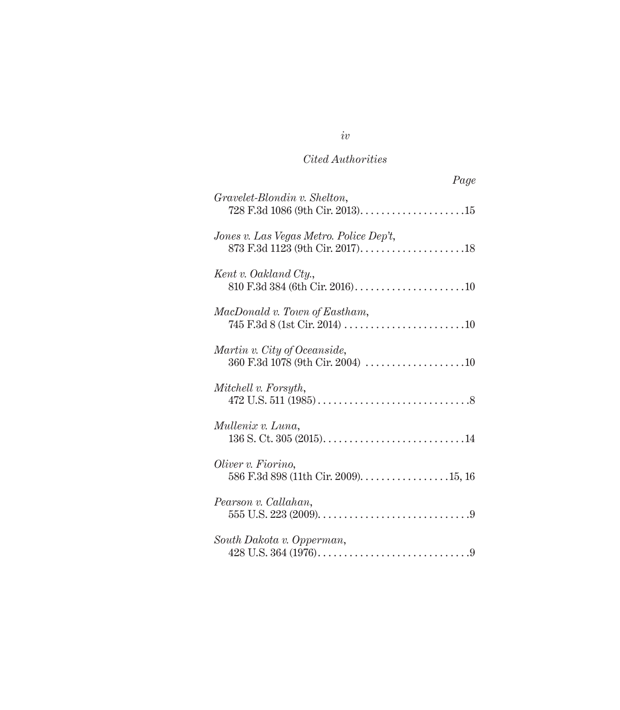# *Cited Authorities*

| Page                                                             |
|------------------------------------------------------------------|
| Gravelet-Blondin v. Shelton,                                     |
| Jones v. Las Vegas Metro. Police Dep't,                          |
| Kent v. Oakland Cty.,                                            |
| MacDonald v. Town of Eastham,                                    |
| Martin v. City of Oceanside,<br>360 F.3d 1078 (9th Cir. 2004) 10 |
| Mitchell v. Forsyth,                                             |
| Mullenix v. Luna,                                                |
| Oliver v. Fiorino,                                               |
| Pearson v. Callahan,                                             |
| South Dakota v. Opperman,                                        |

# *iv*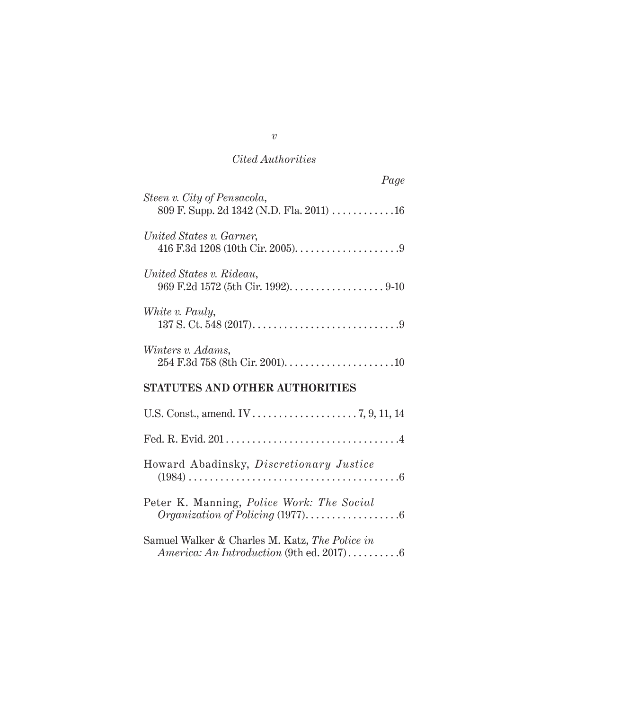# *Cited Authorities*

| Page                                                                    |
|-------------------------------------------------------------------------|
| Steen v. City of Pensacola,<br>809 F. Supp. 2d 1342 (N.D. Fla. 2011) 16 |
| United States v. Garner,                                                |
| United States v. Rideau,                                                |
| White v. Pauly,                                                         |
| Winters v. Adams,                                                       |
| <b>STATUTES AND OTHER AUTHORITIES</b>                                   |
|                                                                         |
|                                                                         |
| Howard Abadinsky, Discretionary Justice                                 |
| Peter K. Manning, <i>Police Work: The Social</i>                        |

| Samuel Walker & Charles M. Katz, The Police in |  |
|------------------------------------------------|--|
|                                                |  |

*v*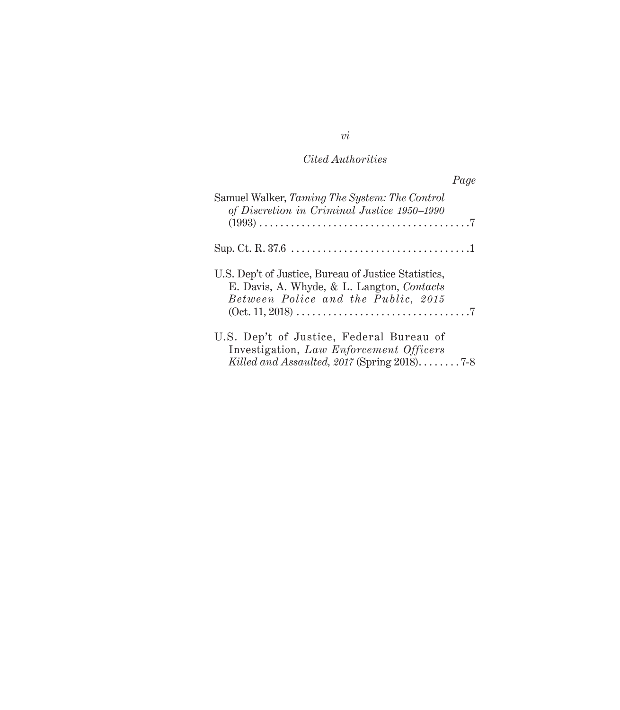# *Cited Authorities*

|                                                                                                              | Page |
|--------------------------------------------------------------------------------------------------------------|------|
| Samuel Walker, Taming The System: The Control<br>of Discretion in Criminal Justice 1950-1990                 |      |
|                                                                                                              |      |
|                                                                                                              |      |
| U.S. Dep't of Justice, Bureau of Justice Statistics,                                                         |      |
| E. Davis, A. Whyde, & L. Langton, Contacts                                                                   |      |
| Between Police and the Public, 2015                                                                          |      |
| $(0ct. 11, 2018) \ldots \ldots \ldots \ldots \ldots \ldots \ldots \ldots \ldots \ldots \ldots \ldots \ldots$ |      |
| U.S. Dep't of Justice, Federal Bureau of                                                                     |      |
| Investigation, Law Enforcement Officers                                                                      |      |
| Killed and Assaulted, 2017 (Spring $2018$ )7-8                                                               |      |

*vi*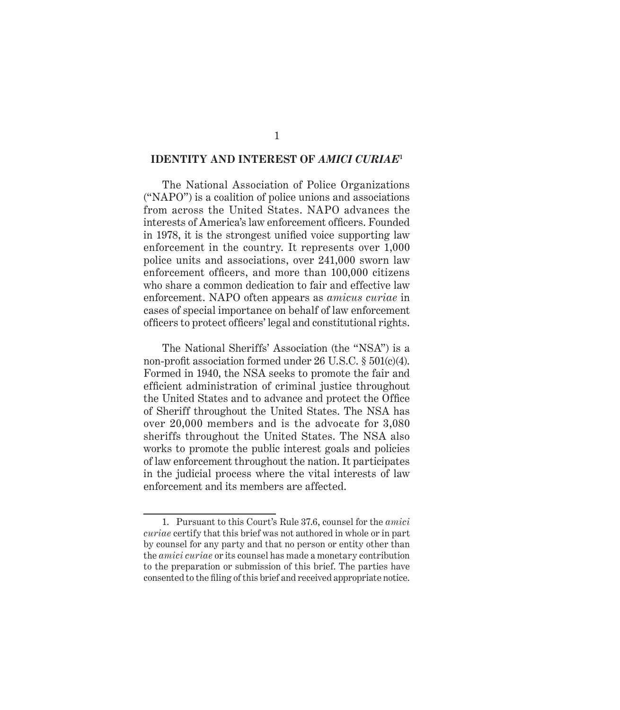### **IDENTITY AND INTEREST OF** *AMICI CURIAE***<sup>1</sup>**

The National Association of Police Organizations ("NAPO") is a coalition of police unions and associations from across the United States. NAPO advances the interests of America's law enforcement officers. Founded in 1978, it is the strongest unified voice supporting law enforcement in the country. It represents over 1,000 police units and associations, over 241,000 sworn law enforcement officers, and more than 100,000 citizens who share a common dedication to fair and effective law enforcement. NAPO often appears as *amicus curiae* in cases of special importance on behalf of law enforcement officers to protect officers' legal and constitutional rights.

The National Sheriffs' Association (the "NSA") is a non-profit association formed under 26 U.S.C. § 501(c)(4). Formed in 1940, the NSA seeks to promote the fair and efficient administration of criminal justice throughout the United States and to advance and protect the Office of Sheriff throughout the United States. The NSA has over 20,000 members and is the advocate for 3,080 sheriffs throughout the United States. The NSA also works to promote the public interest goals and policies of law enforcement throughout the nation. It participates in the judicial process where the vital interests of law enforcement and its members are affected.

<sup>1.</sup> Pursuant to this Court's Rule 37.6, counsel for the *amici curiae* certify that this brief was not authored in whole or in part by counsel for any party and that no person or entity other than the *amici curiae* or its counsel has made a monetary contribution to the preparation or submission of this brief. The parties have consented to the filing of this brief and received appropriate notice.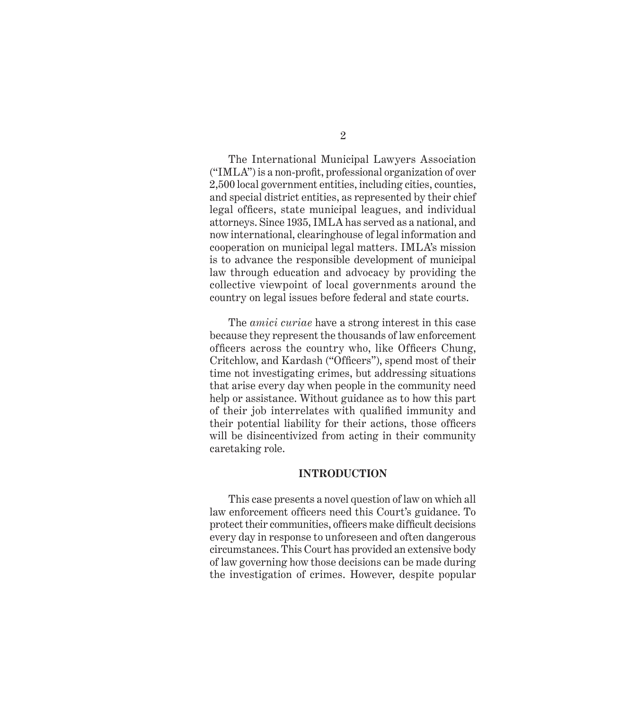The International Municipal Lawyers Association ("IMLA") is a non-profit, professional organization of over 2,500 local government entities, including cities, counties, and special district entities, as represented by their chief legal officers, state municipal leagues, and individual attorneys. Since 1935, IMLA has served as a national, and now international, clearinghouse of legal information and cooperation on municipal legal matters. IMLA's mission is to advance the responsible development of municipal law through education and advocacy by providing the collective viewpoint of local governments around the country on legal issues before federal and state courts.

The *amici curiae* have a strong interest in this case because they represent the thousands of law enforcement officers across the country who, like Officers Chung, Critchlow, and Kardash ("Officers"), spend most of their time not investigating crimes, but addressing situations that arise every day when people in the community need help or assistance. Without guidance as to how this part of their job interrelates with qualified immunity and their potential liability for their actions, those officers will be disincentivized from acting in their community caretaking role.

#### **INTRODUCTION**

This case presents a novel question of law on which all law enforcement officers need this Court's guidance. To protect their communities, officers make difficult decisions every day in response to unforeseen and often dangerous circumstances. This Court has provided an extensive body of law governing how those decisions can be made during the investigation of crimes. However, despite popular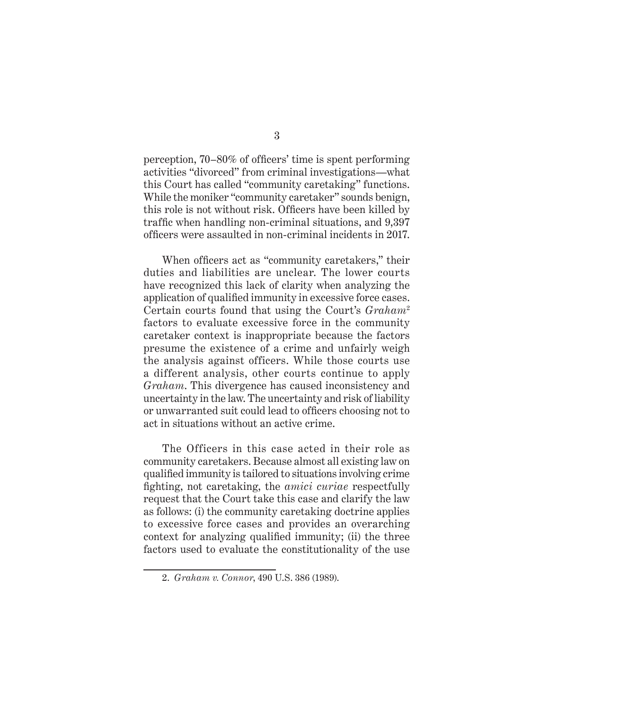perception, 70–80% of officers' time is spent performing activities "divorced" from criminal investigations—what this Court has called "community caretaking" functions. While the moniker "community caretaker" sounds benign, this role is not without risk. Officers have been killed by traffic when handling non-criminal situations, and 9,397 officers were assaulted in non-criminal incidents in 2017.

When officers act as "community caretakers," their duties and liabilities are unclear. The lower courts have recognized this lack of clarity when analyzing the application of qualified immunity in excessive force cases. Certain courts found that using the Court's *Graham*<sup>2</sup> factors to evaluate excessive force in the community caretaker context is inappropriate because the factors presume the existence of a crime and unfairly weigh the analysis against officers. While those courts use a different analysis, other courts continue to apply *Graham*. This divergence has caused inconsistency and uncertainty in the law. The uncertainty and risk of liability or unwarranted suit could lead to officers choosing not to act in situations without an active crime.

The Officers in this case acted in their role as community caretakers. Because almost all existing law on qualified immunity is tailored to situations involving crime fighting, not caretaking, the *amici curiae* respectfully request that the Court take this case and clarify the law as follows: (i) the community caretaking doctrine applies to excessive force cases and provides an overarching context for analyzing qualified immunity; (ii) the three factors used to evaluate the constitutionality of the use

<sup>2.</sup> *Graham v. Connor*, 490 U.S. 386 (1989).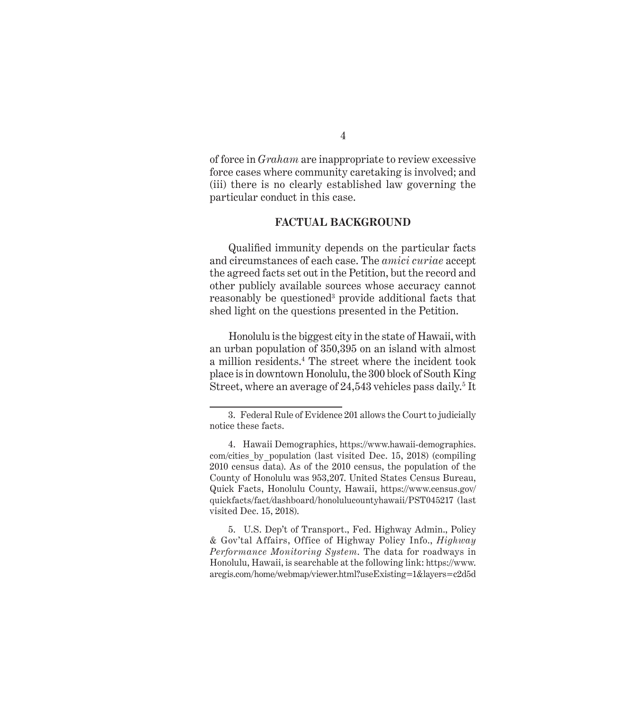of force in *Graham* are inappropriate to review excessive force cases where community caretaking is involved; and (iii) there is no clearly established law governing the particular conduct in this case.

### **FACTUAL BACKGROUND**

Qualified immunity depends on the particular facts and circumstances of each case. The *amici curiae* accept the agreed facts set out in the Petition, but the record and other publicly available sources whose accuracy cannot reasonably be questioned<sup>3</sup> provide additional facts that shed light on the questions presented in the Petition.

Honolulu is the biggest city in the state of Hawaii, with an urban population of 350,395 on an island with almost a million residents.4 The street where the incident took place is in downtown Honolulu, the 300 block of South King Street, where an average of 24,543 vehicles pass daily.<sup>5</sup> It

5. U.S. Dep't of Transport., Fed. Highway Admin., Policy & Gov'tal Affairs, Office of Highway Policy Info., *Highway Performance Monitoring System*. The data for roadways in Honolulu, Hawaii, is searchable at the following link: https://www. arcgis.com/home/webmap/viewer.html?useExisting=1&layers=c2d5d

<sup>3.</sup> Federal Rule of Evidence 201 allows the Court to judicially notice these facts.

<sup>4.</sup> Hawaii Demographics, https://www.hawaii-demographics. com/cities\_by\_population (last visited Dec. 15, 2018) (compiling 2010 census data). As of the 2010 census, the population of the County of Honolulu was 953,207. United States Census Bureau, Quick Facts, Honolulu County, Hawaii, https://www.census.gov/ quickfacts/fact/dashboard/honolulucountyhawaii/PST045217 (last visited Dec. 15, 2018).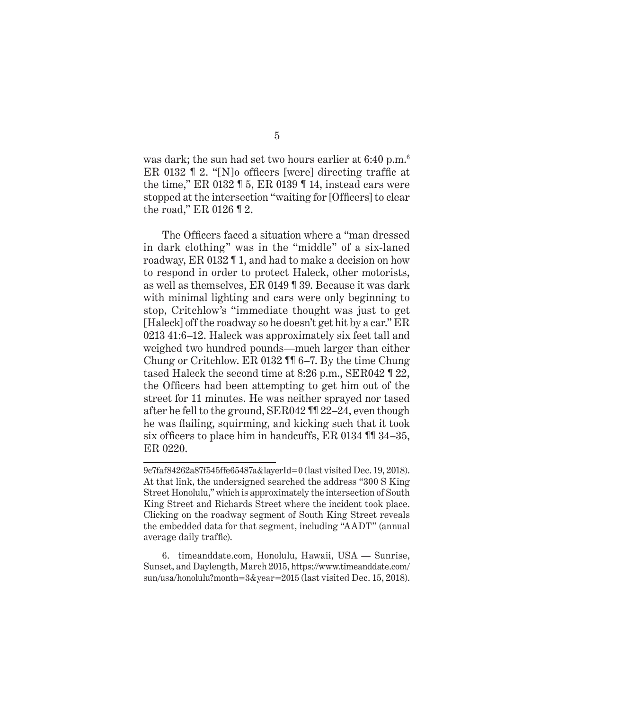was dark; the sun had set two hours earlier at 6:40 p.m.<sup>6</sup> ER 0132 ¶ 2. "[N]o officers [were] directing traffic at the time," ER 0132 ¶ 5, ER 0139 ¶ 14, instead cars were stopped at the intersection "waiting for [Officers] to clear the road," ER 0126 ¶ 2.

The Officers faced a situation where a "man dressed in dark clothing" was in the "middle" of a six-laned roadway, ER 0132 ¶ 1, and had to make a decision on how to respond in order to protect Haleck, other motorists, as well as themselves, ER 0149 ¶ 39. Because it was dark with minimal lighting and cars were only beginning to stop, Critchlow's "immediate thought was just to get [Haleck] off the roadway so he doesn't get hit by a car." ER 0213 41:6–12. Haleck was approximately six feet tall and weighed two hundred pounds—much larger than either Chung or Critchlow. ER 0132 ¶¶ 6–7. By the time Chung tased Haleck the second time at 8:26 p.m., SER042 ¶ 22, the Officers had been attempting to get him out of the street for 11 minutes. He was neither sprayed nor tased after he fell to the ground, SER042 ¶¶ 22–24, even though he was flailing, squirming, and kicking such that it took six officers to place him in handcuffs, ER 0134 ¶¶ 34–35, ER 0220.

<sup>9</sup>c7faf84262a87f545ffe65487a&layerId=0 (last visited Dec. 19, 2018). At that link, the undersigned searched the address "300 S King Street Honolulu," which is approximately the intersection of South King Street and Richards Street where the incident took place. Clicking on the roadway segment of South King Street reveals the embedded data for that segment, including "AADT" (annual average daily traffic).

<sup>6.</sup> timeanddate.com, Honolulu, Hawaii, USA — Sunrise, Sunset, and Daylength, March 2015, https://www.timeanddate.com/ sun/usa/honolulu?month=3&year=2015 (last visited Dec. 15, 2018).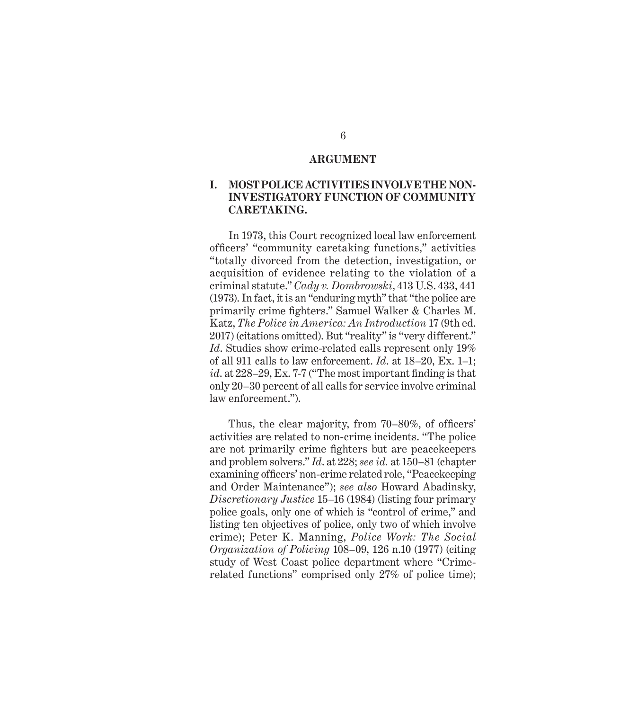#### **ARGUMENT**

### **I. MOST POLICE ACTIVITIES INVOLVE THE NON-INVESTIGATORY FUNCTION OF COMMUNITY CARETAKING.**

In 1973, this Court recognized local law enforcement officers' "community caretaking functions," activities "totally divorced from the detection, investigation, or acquisition of evidence relating to the violation of a criminal statute." *Cady v. Dombrowski*, 413 U.S. 433, 441 (1973). In fact, it is an "enduring myth" that "the police are primarily crime fighters." Samuel Walker & Charles M. Katz, *The Police in America: An Introduction* 17 (9th ed. 2017) (citations omitted). But "reality" is "very different." *Id*. Studies show crime-related calls represent only 19% of all 911 calls to law enforcement. *Id*. at 18–20, Ex. 1–1; *id*. at 228–29, Ex. 7-7 ("The most important finding is that only 20–30 percent of all calls for service involve criminal law enforcement.").

Thus, the clear majority, from 70–80%, of officers' activities are related to non-crime incidents. "The police are not primarily crime fighters but are peacekeepers and problem solvers." *Id*. at 228; *see id.* at 150–81 (chapter examining officers' non-crime related role, "Peacekeeping and Order Maintenance"); *see also* Howard Abadinsky, *Discretionary Justice* 15–16 (1984) (listing four primary police goals, only one of which is "control of crime," and listing ten objectives of police, only two of which involve crime); Peter K. Manning, *Police Work: The Social Organization of Policing* 108–09, 126 n.10 (1977) (citing study of West Coast police department where "Crimerelated functions" comprised only 27% of police time);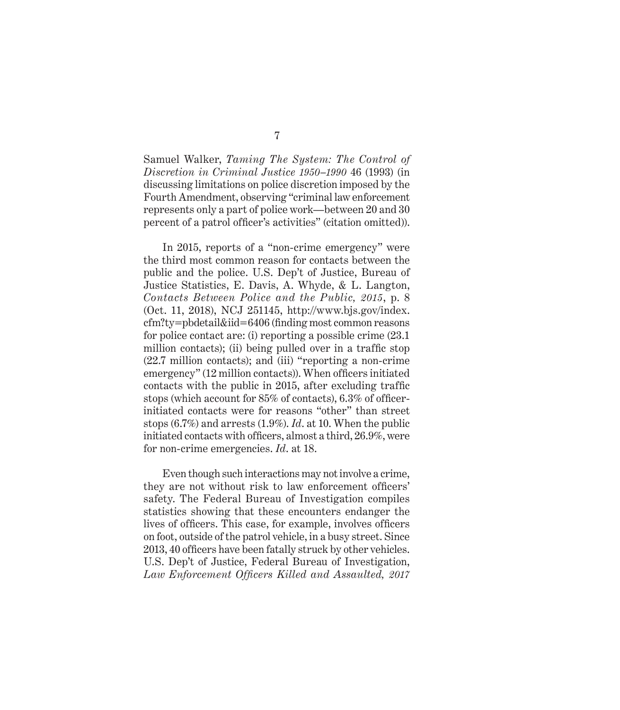Samuel Walker, *Taming The System: The Control of Discretion in Criminal Justice 1950–1990* 46 (1993) (in discussing limitations on police discretion imposed by the Fourth Amendment, observing "criminal law enforcement represents only a part of police work—between 20 and 30 percent of a patrol officer's activities" (citation omitted)).

In 2015, reports of a "non-crime emergency" were the third most common reason for contacts between the public and the police. U.S. Dep't of Justice, Bureau of Justice Statistics, E. Davis, A. Whyde, & L. Langton, *Contacts Between Police and the Public, 2015*, p. 8 (Oct. 11, 2018), NCJ 251145, http://www.bjs.gov/index. cfm?ty=pbdetail&iid=6406 (finding most common reasons for police contact are: (i) reporting a possible crime (23.1 million contacts); (ii) being pulled over in a traffic stop (22.7 million contacts); and (iii) "reporting a non-crime emergency" (12 million contacts)). When officers initiated contacts with the public in 2015, after excluding traffic stops (which account for 85% of contacts), 6.3% of officerinitiated contacts were for reasons "other" than street stops (6.7%) and arrests (1.9%). *Id*. at 10. When the public initiated contacts with officers, almost a third, 26.9%, were for non-crime emergencies. *Id*. at 18.

Even though such interactions may not involve a crime, they are not without risk to law enforcement officers' safety. The Federal Bureau of Investigation compiles statistics showing that these encounters endanger the lives of officers. This case, for example, involves officers on foot, outside of the patrol vehicle, in a busy street. Since 2013, 40 officers have been fatally struck by other vehicles. U.S. Dep't of Justice, Federal Bureau of Investigation, *Law Enforcement Officers Killed and Assaulted, 2017*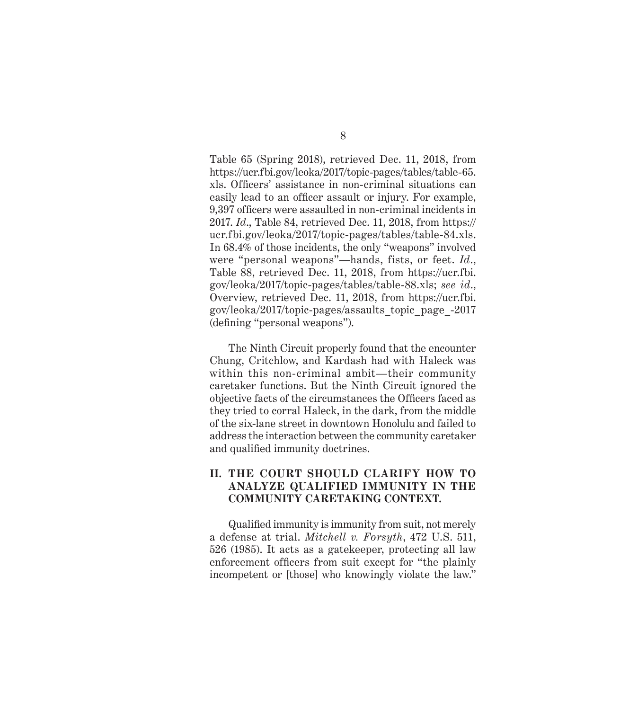Table 65 (Spring 2018), retrieved Dec. 11, 2018, from https://ucr.fbi.gov/leoka/2017/topic-pages/tables/table-65. xls. Officers' assistance in non-criminal situations can easily lead to an officer assault or injury. For example, 9,397 officers were assaulted in non-criminal incidents in 2017. *Id*., Table 84, retrieved Dec. 11, 2018, from https:// ucr.fbi.gov/leoka/2017/topic-pages/tables/table-84.xls. In 68.4% of those incidents, the only "weapons" involved were "personal weapons"—hands, fists, or feet. *Id*., Table 88, retrieved Dec. 11, 2018, from https://ucr.fbi. gov/leoka/2017/topic-pages/tables/table-88.xls; *see id*., Overview, retrieved Dec. 11, 2018, from https://ucr.fbi. gov/leoka/2017/topic-pages/assaults\_topic\_page\_-2017 (defining "personal weapons").

The Ninth Circuit properly found that the encounter Chung, Critchlow, and Kardash had with Haleck was within this non-criminal ambit—their community caretaker functions. But the Ninth Circuit ignored the objective facts of the circumstances the Officers faced as they tried to corral Haleck, in the dark, from the middle of the six-lane street in downtown Honolulu and failed to address the interaction between the community caretaker and qualified immunity doctrines.

### **II. THE COURT SHOULD CLARIFY HOW TO ANALYZE QUALIFIED IMMUNITY IN THE COMMUNITY CARETAKING CONTEXT.**

Qualified immunity is immunity from suit, not merely a defense at trial. *Mitchell v. Forsyth*, 472 U.S. 511, 526 (1985). It acts as a gatekeeper, protecting all law enforcement officers from suit except for "the plainly incompetent or [those] who knowingly violate the law."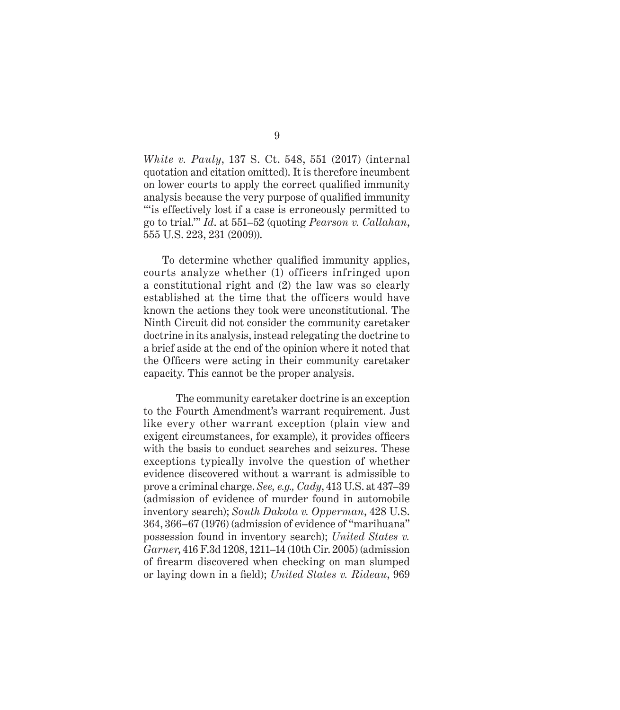*White v. Pauly*, 137 S. Ct. 548, 551 (2017) (internal quotation and citation omitted). It is therefore incumbent on lower courts to apply the correct qualified immunity analysis because the very purpose of qualified immunity "'is effectively lost if a case is erroneously permitted to go to trial.'" *Id*. at 551–52 (quoting *Pearson v. Callahan*, 555 U.S. 223, 231 (2009)).

To determine whether qualified immunity applies, courts analyze whether (1) officers infringed upon a constitutional right and (2) the law was so clearly established at the time that the officers would have known the actions they took were unconstitutional. The Ninth Circuit did not consider the community caretaker doctrine in its analysis, instead relegating the doctrine to a brief aside at the end of the opinion where it noted that the Officers were acting in their community caretaker capacity. This cannot be the proper analysis.

The community caretaker doctrine is an exception to the Fourth Amendment's warrant requirement. Just like every other warrant exception (plain view and exigent circumstances, for example), it provides officers with the basis to conduct searches and seizures. These exceptions typically involve the question of whether evidence discovered without a warrant is admissible to prove a criminal charge. *See, e.g., Cady*, 413 U.S. at 437–39 (admission of evidence of murder found in automobile inventory search); *South Dakota v. Opperman*, 428 U.S. 364, 366–67 (1976) (admission of evidence of "marihuana" possession found in inventory search); *United States v. Garner*, 416 F.3d 1208, 1211–14 (10th Cir. 2005) (admission of firearm discovered when checking on man slumped or laying down in a field); *United States v. Rideau*, 969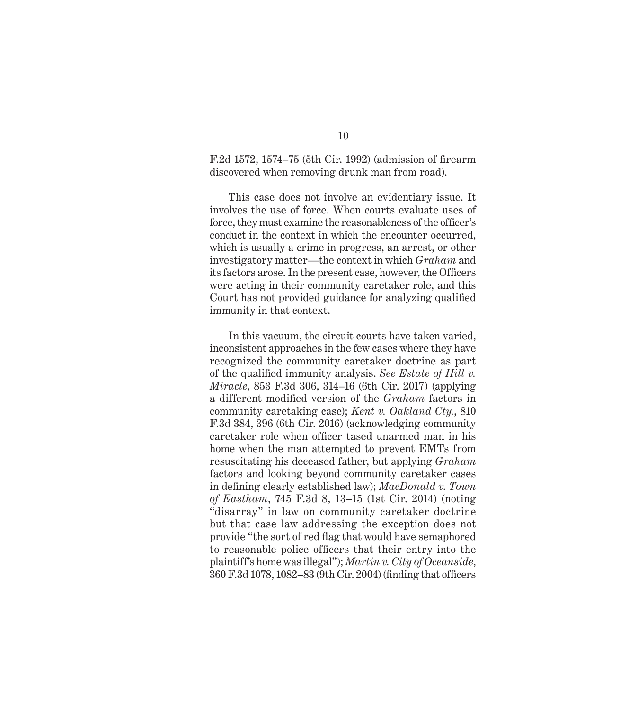F.2d 1572, 1574–75 (5th Cir. 1992) (admission of firearm discovered when removing drunk man from road).

This case does not involve an evidentiary issue. It involves the use of force. When courts evaluate uses of force, they must examine the reasonableness of the officer's conduct in the context in which the encounter occurred, which is usually a crime in progress, an arrest, or other investigatory matter—the context in which *Graham* and its factors arose. In the present case, however, the Officers were acting in their community caretaker role, and this Court has not provided guidance for analyzing qualified immunity in that context.

In this vacuum, the circuit courts have taken varied, inconsistent approaches in the few cases where they have recognized the community caretaker doctrine as part of the qualified immunity analysis. *See Estate of Hill v. Miracle*, 853 F.3d 306, 314–16 (6th Cir. 2017) (applying a different modified version of the *Graham* factors in community caretaking case); *Kent v. Oakland Cty.*, 810 F.3d 384, 396 (6th Cir. 2016) (acknowledging community caretaker role when officer tased unarmed man in his home when the man attempted to prevent EMTs from resuscitating his deceased father, but applying *Graham* factors and looking beyond community caretaker cases in defining clearly established law); *MacDonald v. Town of Eastham*, 745 F.3d 8, 13–15 (1st Cir. 2014) (noting "disarray" in law on community caretaker doctrine but that case law addressing the exception does not provide "the sort of red flag that would have semaphored to reasonable police officers that their entry into the plaintiff's home was illegal"); *Martin v. City of Oceanside*, 360 F.3d 1078, 1082–83 (9th Cir. 2004) (finding that officers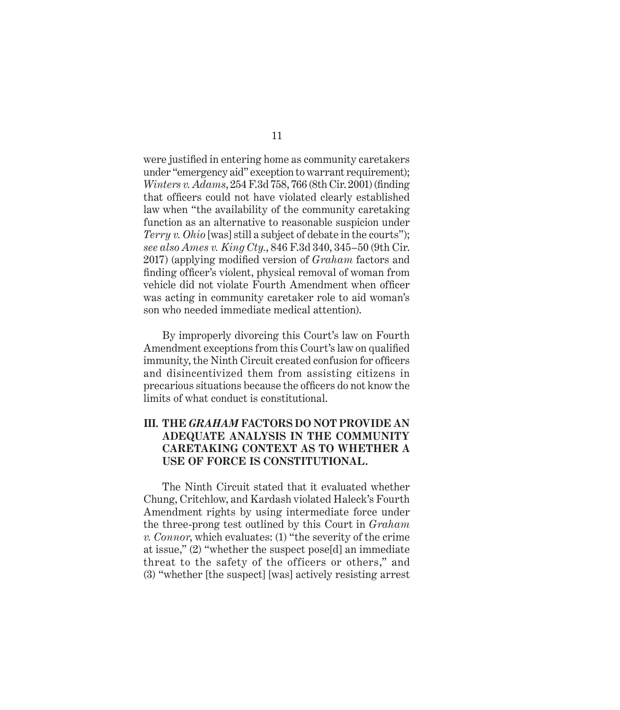were justified in entering home as community caretakers under "emergency aid" exception to warrant requirement); *Winters v. Adams*, 254 F.3d 758, 766 (8th Cir. 2001) (finding that officers could not have violated clearly established law when "the availability of the community caretaking function as an alternative to reasonable suspicion under *Terry v. Ohio* [was] still a subject of debate in the courts"); *see also Ames v. King Cty.*, 846 F.3d 340, 345–50 (9th Cir. 2017) (applying modified version of *Graham* factors and finding officer's violent, physical removal of woman from vehicle did not violate Fourth Amendment when officer was acting in community caretaker role to aid woman's son who needed immediate medical attention).

By improperly divorcing this Court's law on Fourth Amendment exceptions from this Court's law on qualified immunity, the Ninth Circuit created confusion for officers and disincentivized them from assisting citizens in precarious situations because the officers do not know the limits of what conduct is constitutional.

### **III. THE** *GRAHAM* **FACTORS DO NOT PROVIDE AN ADEQUATE ANALYSIS IN THE COMMUNITY CARETAKING CONTEXT AS TO WHETHER A USE OF FORCE IS CONSTITUTIONAL.**

The Ninth Circuit stated that it evaluated whether Chung, Critchlow, and Kardash violated Haleck's Fourth Amendment rights by using intermediate force under the three-prong test outlined by this Court in *Graham v. Connor*, which evaluates: (1) "the severity of the crime at issue," (2) "whether the suspect pose[d] an immediate threat to the safety of the officers or others," and (3) "whether [the suspect] [was] actively resisting arrest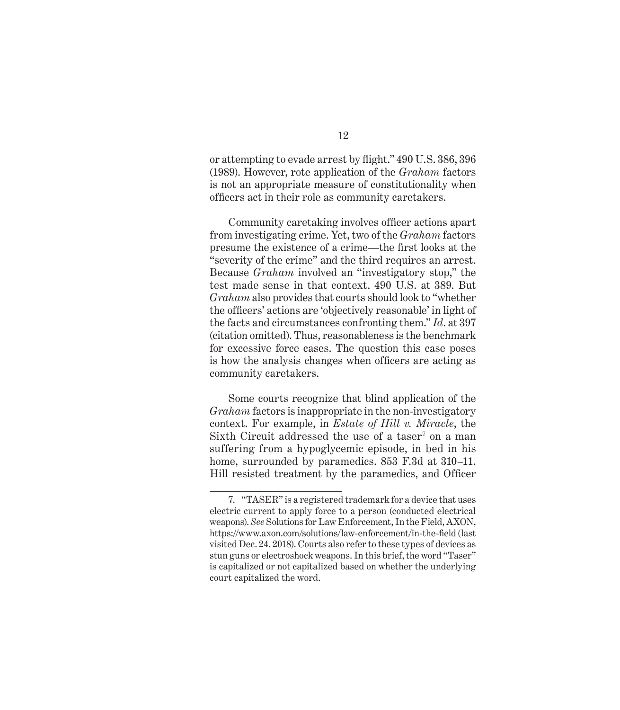or attempting to evade arrest by flight." 490 U.S. 386, 396 (1989). However, rote application of the *Graham* factors is not an appropriate measure of constitutionality when officers act in their role as community caretakers.

Community caretaking involves officer actions apart from investigating crime. Yet, two of the *Graham* factors presume the existence of a crime—the first looks at the "severity of the crime" and the third requires an arrest. Because *Graham* involved an "investigatory stop," the test made sense in that context. 490 U.S. at 389. But *Graham* also provides that courts should look to "whether the officers' actions are 'objectively reasonable' in light of the facts and circumstances confronting them." *Id*. at 397 (citation omitted). Thus, reasonableness is the benchmark for excessive force cases. The question this case poses is how the analysis changes when officers are acting as community caretakers.

Some courts recognize that blind application of the *Graham* factors is inappropriate in the non-investigatory context. For example, in *Estate of Hill v. Miracle*, the Sixth Circuit addressed the use of a taser<sup>7</sup> on a man suffering from a hypoglycemic episode, in bed in his home, surrounded by paramedics. 853 F.3d at 310–11. Hill resisted treatment by the paramedics, and Officer

<sup>7. &</sup>quot;TASER" is a registered trademark for a device that uses electric current to apply force to a person (conducted electrical weapons). *See* Solutions for Law Enforcement, In the Field, AXON, https://www.axon.com/solutions/law-enforcement/in-the-field (last visited Dec. 24. 2018). Courts also refer to these types of devices as stun guns or electroshock weapons. In this brief, the word "Taser" is capitalized or not capitalized based on whether the underlying court capitalized the word.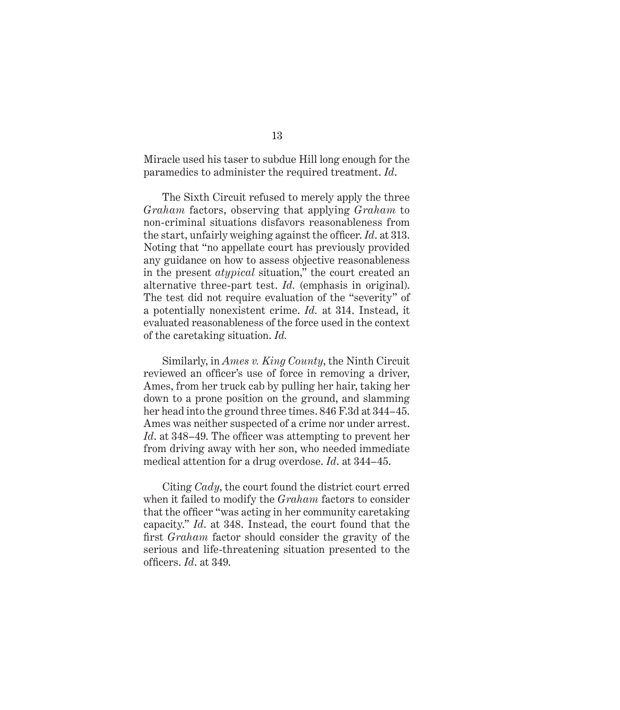Miracle used his taser to subdue Hill long enough for the paramedics to administer the required treatment. *Id*.

The Sixth Circuit refused to merely apply the three *Graham* factors, observing that applying *Graham* to non-criminal situations disfavors reasonableness from the start, unfairly weighing against the officer. *Id*. at 313. Noting that "no appellate court has previously provided any guidance on how to assess objective reasonableness in the present *atypical* situation," the court created an alternative three-part test. *Id.* (emphasis in original). The test did not require evaluation of the "severity" of a potentially nonexistent crime. *Id.* at 314. Instead, it evaluated reasonableness of the force used in the context of the caretaking situation. *Id.*

Similarly, in *Ames v. King County*, the Ninth Circuit reviewed an officer's use of force in removing a driver, Ames, from her truck cab by pulling her hair, taking her down to a prone position on the ground, and slamming her head into the ground three times. 846 F.3d at 344–45. Ames was neither suspected of a crime nor under arrest. *Id*. at 348–49. The officer was attempting to prevent her from driving away with her son, who needed immediate medical attention for a drug overdose. *Id*. at 344–45.

Citing *Cady*, the court found the district court erred when it failed to modify the *Graham* factors to consider that the officer "was acting in her community caretaking capacity." *Id*. at 348. Instead, the court found that the first *Graham* factor should consider the gravity of the serious and life-threatening situation presented to the officers. *Id*. at 349.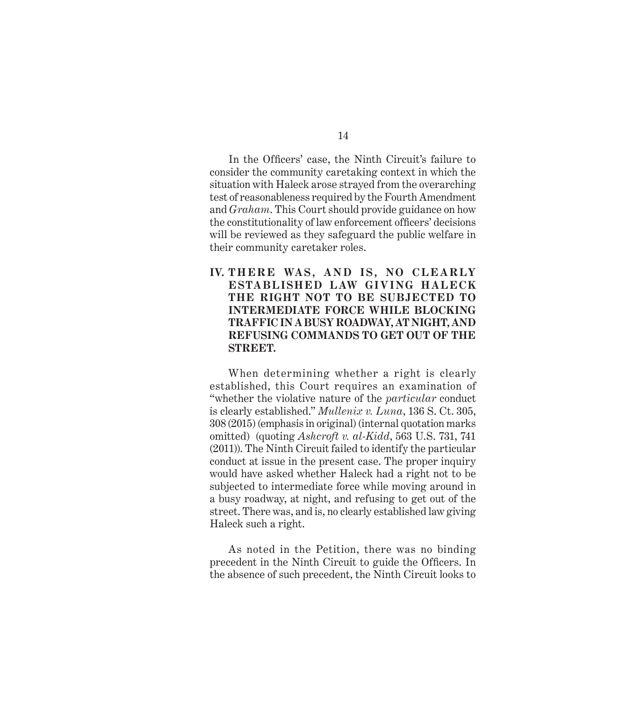In the Officers' case, the Ninth Circuit's failure to consider the community caretaking context in which the situation with Haleck arose strayed from the overarching test of reasonableness required by the Fourth Amendment and *Graham*. This Court should provide guidance on how the constitutionality of law enforcement officers' decisions will be reviewed as they safeguard the public welfare in their community caretaker roles.

IV. THERE WAS, AND IS, NO CLEARLY **ESTABLISHED LAW GIVING HALECK THE RIGHT NOT TO BE SUBJECTED TO INTERMEDIATE FORCE WHILE BLOCKING TRAFFIC IN A BUSY ROADWAY, AT NIGHT, AND REFUSING COMMANDS TO GET OUT OF THE STREET.**

When determining whether a right is clearly established, this Court requires an examination of "whether the violative nature of the *particular* conduct is clearly established." *Mullenix v. Luna*, 136 S. Ct. 305, 308 (2015) (emphasis in original) (internal quotation marks omitted) (quoting *Ashcroft v. al-Kidd*, 563 U.S. 731, 741 (2011)). The Ninth Circuit failed to identify the particular conduct at issue in the present case. The proper inquiry would have asked whether Haleck had a right not to be subjected to intermediate force while moving around in a busy roadway, at night, and refusing to get out of the street. There was, and is, no clearly established law giving Haleck such a right.

As noted in the Petition, there was no binding precedent in the Ninth Circuit to guide the Officers. In the absence of such precedent, the Ninth Circuit looks to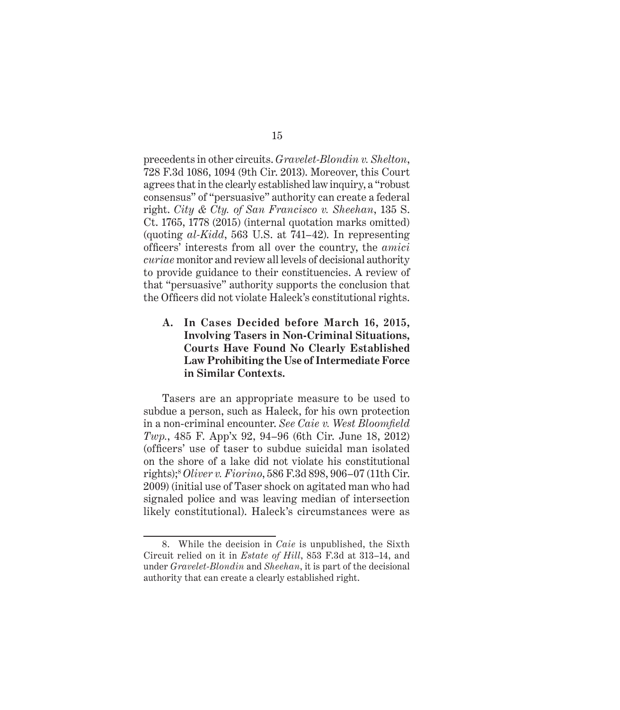precedents in other circuits. *Gravelet-Blondin v. Shelton*, 728 F.3d 1086, 1094 (9th Cir. 2013). Moreover, this Court agrees that in the clearly established law inquiry, a "robust consensus" of "persuasive" authority can create a federal right. *City & Cty. of San Francisco v. Sheehan*, 135 S. Ct. 1765, 1778 (2015) (internal quotation marks omitted) (quoting *al-Kidd*, 563 U.S. at 741–42). In representing officers' interests from all over the country, the *amici curiae* monitor and review all levels of decisional authority to provide guidance to their constituencies. A review of that "persuasive" authority supports the conclusion that the Officers did not violate Haleck's constitutional rights.

### **A. In Cases Decided before March 16, 2015, Involving Tasers in Non-Criminal Situations, Courts Have Found No Clearly Established Law Prohibiting the Use of Intermediate Force in Similar Contexts.**

Tasers are an appropriate measure to be used to subdue a person, such as Haleck, for his own protection in a non-criminal encounter. *See Caie v. West Bloomfield Twp.*, 485 F. App'x 92, 94–96 (6th Cir. June 18, 2012) (officers' use of taser to subdue suicidal man isolated on the shore of a lake did not violate his constitutional rights);8 *Oliver v. Fiorino*, 586 F.3d 898, 906–07 (11th Cir. 2009) (initial use of Taser shock on agitated man who had signaled police and was leaving median of intersection likely constitutional). Haleck's circumstances were as

<sup>8.</sup> While the decision in *Caie* is unpublished, the Sixth Circuit relied on it in *Estate of Hill*, 853 F.3d at 313–14, and under *Gravelet-Blondin* and *Sheehan*, it is part of the decisional authority that can create a clearly established right.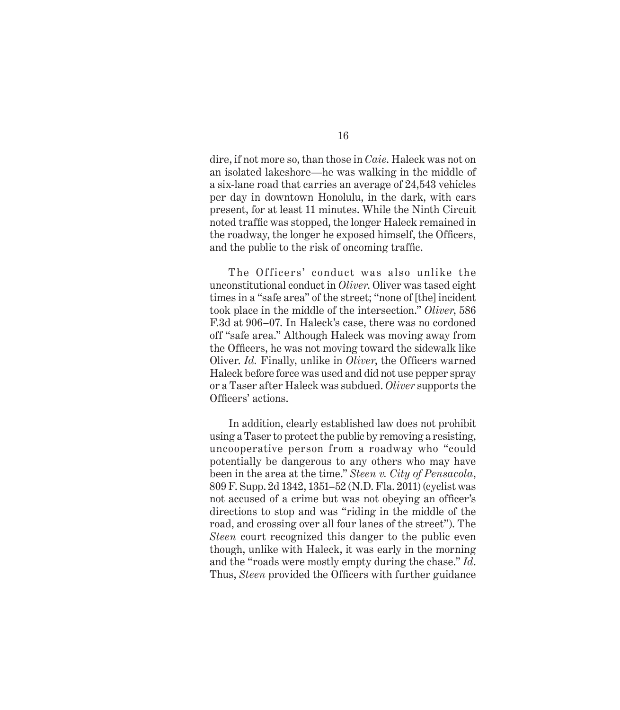dire, if not more so, than those in *Caie*. Haleck was not on an isolated lakeshore—he was walking in the middle of a six-lane road that carries an average of 24,543 vehicles per day in downtown Honolulu, in the dark, with cars present, for at least 11 minutes. While the Ninth Circuit noted traffic was stopped, the longer Haleck remained in the roadway, the longer he exposed himself, the Officers, and the public to the risk of oncoming traffic.

The Officers' conduct was also unlike the unconstitutional conduct in *Oliver*. Oliver was tased eight times in a "safe area" of the street; "none of [the] incident took place in the middle of the intersection." *Oliver*, 586 F.3d at 906–07. In Haleck's case, there was no cordoned off "safe area." Although Haleck was moving away from the Officers, he was not moving toward the sidewalk like Oliver. *Id.* Finally, unlike in *Oliver*, the Officers warned Haleck before force was used and did not use pepper spray or a Taser after Haleck was subdued. *Oliver* supports the Officers' actions.

In addition, clearly established law does not prohibit using a Taser to protect the public by removing a resisting, uncooperative person from a roadway who "could potentially be dangerous to any others who may have been in the area at the time." *Steen v. City of Pensacola*, 809 F. Supp. 2d 1342, 1351–52 (N.D. Fla. 2011) (cyclist was not accused of a crime but was not obeying an officer's directions to stop and was "riding in the middle of the road, and crossing over all four lanes of the street"). The *Steen* court recognized this danger to the public even though, unlike with Haleck, it was early in the morning and the "roads were mostly empty during the chase." *Id*. Thus, *Steen* provided the Officers with further guidance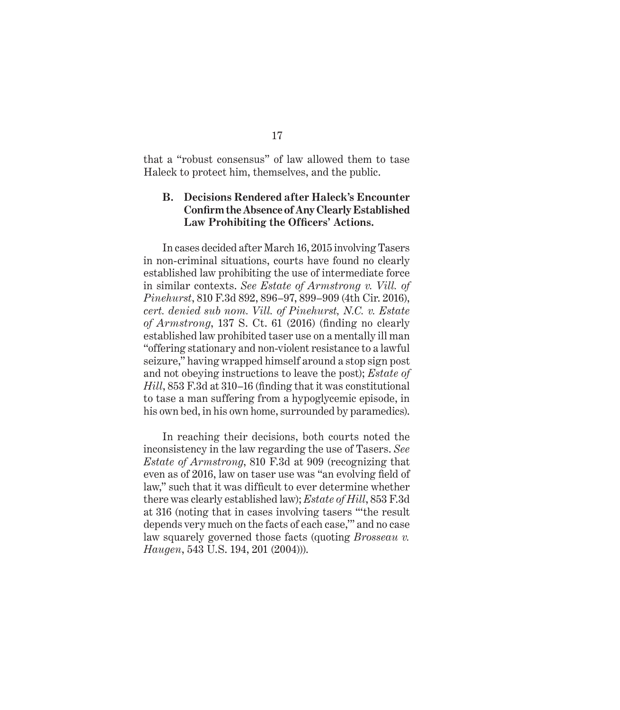that a "robust consensus" of law allowed them to tase Haleck to protect him, themselves, and the public.

### **B. Decisions Rendered after Haleck's Encounter Confirm the Absence of Any Clearly Established Law Prohibiting the Officers' Actions.**

In cases decided after March 16, 2015 involving Tasers in non-criminal situations, courts have found no clearly established law prohibiting the use of intermediate force in similar contexts. *See Estate of Armstrong v. Vill. of Pinehurst*, 810 F.3d 892, 896–97, 899–909 (4th Cir. 2016), *cert. denied sub nom. Vill. of Pinehurst, N.C. v. Estate of Armstrong*, 137 S. Ct. 61 (2016) (finding no clearly established law prohibited taser use on a mentally ill man "offering stationary and non-violent resistance to a lawful seizure," having wrapped himself around a stop sign post and not obeying instructions to leave the post); *Estate of Hill*, 853 F.3d at 310–16 (finding that it was constitutional to tase a man suffering from a hypoglycemic episode, in his own bed, in his own home, surrounded by paramedics).

In reaching their decisions, both courts noted the inconsistency in the law regarding the use of Tasers. *See Estate of Armstrong*, 810 F.3d at 909 (recognizing that even as of 2016, law on taser use was "an evolving field of law," such that it was difficult to ever determine whether there was clearly established law); *Estate of Hill*, 853 F.3d at 316 (noting that in cases involving tasers "'the result depends very much on the facts of each case,'" and no case law squarely governed those facts (quoting *Brosseau v. Haugen*, 543 U.S. 194, 201 (2004))).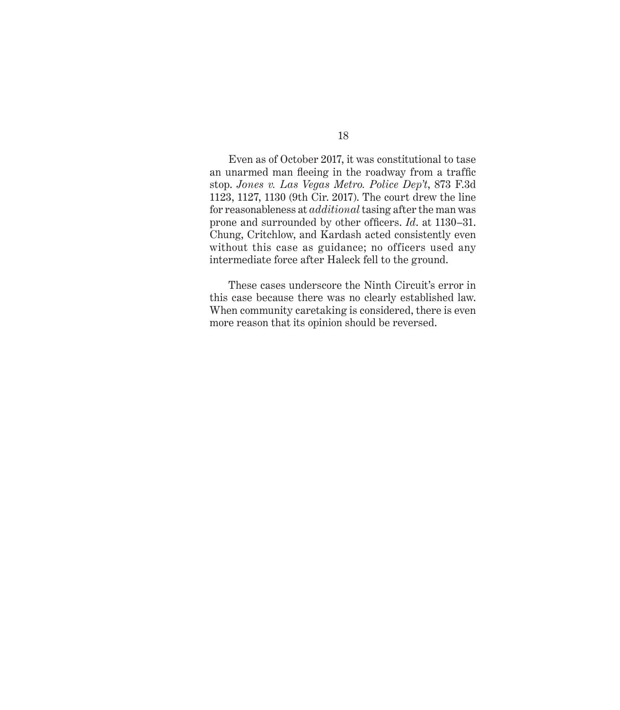Even as of October 2017, it was constitutional to tase an unarmed man fleeing in the roadway from a traffic stop. *Jones v. Las Vegas Metro. Police Dep't*, 873 F.3d 1123, 1127, 1130 (9th Cir. 2017). The court drew the line for reasonableness at *additional* tasing after the man was prone and surrounded by other officers. *Id*. at 1130–31. Chung, Critchlow, and Kardash acted consistently even without this case as guidance; no officers used any intermediate force after Haleck fell to the ground.

These cases underscore the Ninth Circuit's error in this case because there was no clearly established law. When community caretaking is considered, there is even more reason that its opinion should be reversed.